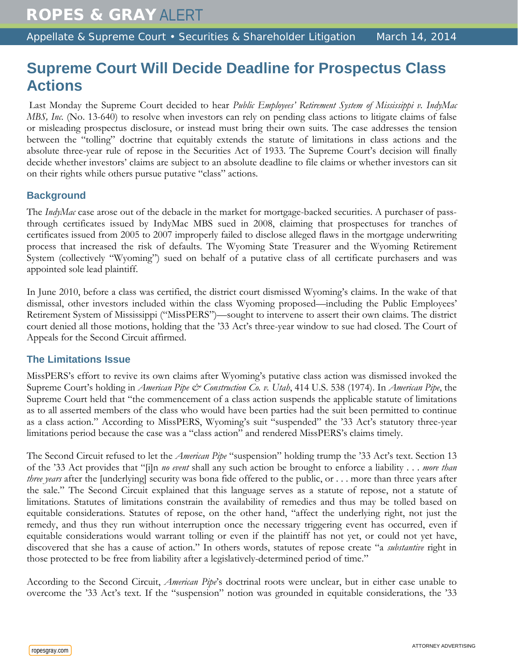## **Supreme Court Will Decide Deadline for Prospectus Class Actions**

Last Monday the Supreme Court decided to hear *Public Employees' Retirement System of Mississippi v. IndyMac MBS, Inc.* (No. 13-640) to resolve when investors can rely on pending class actions to litigate claims of false or misleading prospectus disclosure, or instead must bring their own suits. The case addresses the tension between the "tolling" doctrine that equitably extends the statute of limitations in class actions and the absolute three-year rule of repose in the Securities Act of 1933. The Supreme Court's decision will finally decide whether investors' claims are subject to an absolute deadline to file claims or whether investors can sit on their rights while others pursue putative "class" actions.

## **Background**

The *IndyMac* case arose out of the debacle in the market for mortgage-backed securities. A purchaser of passthrough certificates issued by IndyMac MBS sued in 2008, claiming that prospectuses for tranches of certificates issued from 2005 to 2007 improperly failed to disclose alleged flaws in the mortgage underwriting process that increased the risk of defaults. The Wyoming State Treasurer and the Wyoming Retirement System (collectively "Wyoming") sued on behalf of a putative class of all certificate purchasers and was appointed sole lead plaintiff.

In June 2010, before a class was certified, the district court dismissed Wyoming's claims. In the wake of that dismissal, other investors included within the class Wyoming proposed—including the Public Employees' Retirement System of Mississippi ("MissPERS")—sought to intervene to assert their own claims. The district court denied all those motions, holding that the '33 Act's three-year window to sue had closed. The Court of Appeals for the Second Circuit affirmed.

## **The Limitations Issue**

MissPERS's effort to revive its own claims after Wyoming's putative class action was dismissed invoked the Supreme Court's holding in *American Pipe & Construction Co. v. Utah*, 414 U.S. 538 (1974). In *American Pipe*, the Supreme Court held that "the commencement of a class action suspends the applicable statute of limitations as to all asserted members of the class who would have been parties had the suit been permitted to continue as a class action." According to MissPERS, Wyoming's suit "suspended" the '33 Act's statutory three-year limitations period because the case was a "class action" and rendered MissPERS's claims timely.

The Second Circuit refused to let the *American Pipe* "suspension" holding trump the '33 Act's text. Section 13 of the '33 Act provides that "[i]n *no event* shall any such action be brought to enforce a liability . . . *more than three years* after the [underlying] security was bona fide offered to the public, or . . . more than three years after the sale." The Second Circuit explained that this language serves as a statute of repose, not a statute of limitations. Statutes of limitations constrain the availability of remedies and thus may be tolled based on equitable considerations. Statutes of repose, on the other hand, "affect the underlying right, not just the remedy, and thus they run without interruption once the necessary triggering event has occurred, even if equitable considerations would warrant tolling or even if the plaintiff has not yet, or could not yet have, discovered that she has a cause of action." In others words, statutes of repose create "a *substantive* right in those protected to be free from liability after a legislatively-determined period of time."

According to the Second Circuit, *American Pipe*'s doctrinal roots were unclear, but in either case unable to overcome the '33 Act's text. If the "suspension" notion was grounded in equitable considerations, the '33